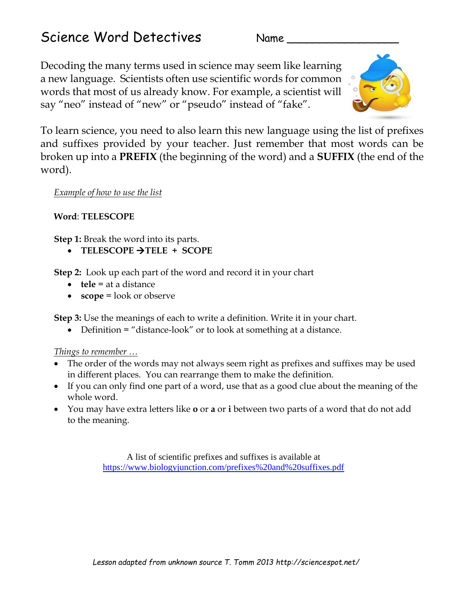## Science Word Detectives Name

Decoding the many terms used in science may seem like learning a new language. Scientists often use scientific words for common words that most of us already know. For example, a scientist will say "neo" instead of "new" or "pseudo" instead of "fake".



To learn science, you need to also learn this new language using th[e list](http://themoderatevoice.com/214807/) of prefixes and suffixes provided by your teacher. Just remember that most words can be broken up into a **PREFIX** (the beginning of the word) and a **SUFFIX** [\(the end o](https://creativecommons.org/licenses/by-nc-nd/3.0/)f the word).

*Example of how to use the list* 

## **Word**: **TELESCOPE**

**Step 1:** Break the word into its parts.

• **TELESCOPE** →**TELE + SCOPE**

**Step 2:** Look up each part of the word and record it in your chart

- **tele** = at a distance
- **scope** = look or observe

**Step 3:** Use the meanings of each to write a definition. Write it in your chart.

• Definition = "distance-look" or to look at something at a distance.

## *Things to remember …*

- The order of the words may not always seem right as prefixes and suffixes may be used in different places. You can rearrange them to make the definition.
- If you can only find one part of a word, use that as a good clue about the meaning of the whole word.
- You may have extra letters like **o** or **a** or **i** between two parts of a word that do not add to the meaning.

A list of scientific prefixes and suffixes is available at <https://www.biologyjunction.com/prefixes%20and%20suffixes.pdf>